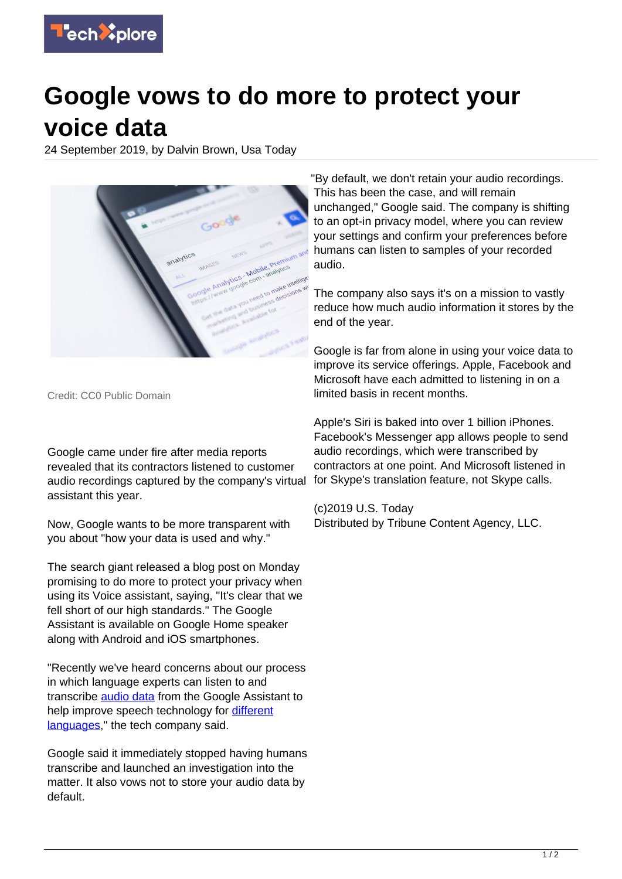

## **Google vows to do more to protect your voice data**

24 September 2019, by Dalvin Brown, Usa Today



Credit: CC0 Public Domain

Google came under fire after media reports revealed that its contractors listened to customer audio recordings captured by the company's virtual assistant this year.

Now, Google wants to be more transparent with you about "how your data is used and why."

The search giant released a blog post on Monday promising to do more to protect your privacy when using its Voice assistant, saying, "It's clear that we fell short of our high standards." The Google Assistant is available on Google Home speaker along with Android and iOS smartphones.

"Recently we've heard concerns about our process in which language experts can listen to and transcribe [audio data](https://techxplore.com/tags/audio+data/) from the Google Assistant to help improve speech technology for [different](https://techxplore.com/tags/different+languages/) [languages](https://techxplore.com/tags/different+languages/)," the tech company said.

Google said it immediately stopped having humans transcribe and launched an investigation into the matter. It also vows not to store your audio data by default.

"By default, we don't retain your audio recordings. This has been the case, and will remain unchanged," Google said. The company is shifting to an opt-in privacy model, where you can review your settings and confirm your preferences before humans can listen to samples of your recorded audio.

The company also says it's on a mission to vastly reduce how much audio information it stores by the end of the year.

Google is far from alone in using your voice data to improve its service offerings. Apple, Facebook and Microsoft have each admitted to listening in on a limited basis in recent months.

Apple's Siri is baked into over 1 billion iPhones. Facebook's Messenger app allows people to send audio recordings, which were transcribed by contractors at one point. And Microsoft listened in for Skype's translation feature, not Skype calls.

(c)2019 U.S. Today Distributed by Tribune Content Agency, LLC.